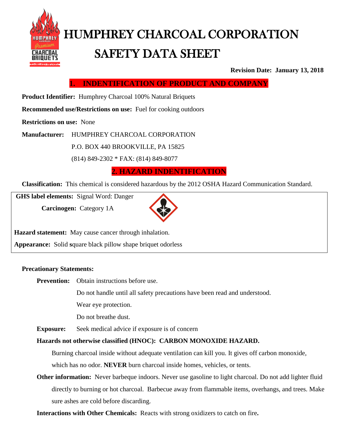

# HUMPHREY CHARCOAL CORPORATION SAFETY DATA SHEET

**Revision Date: January 13, 2018**

**1. INDENTIFICATION OF PRODUCT AND COMPANY**

 **Product Identifier:** Humphrey Charcoal 100% Natural Briquets

**Recommended use/Restrictions on use:** Fuel for cooking outdoors

**Restrictions on use:** None

**Manufacturer:** HUMPHREY CHARCOAL CORPORATION

P.O. BOX 440 BROOKVILLE, PA 15825

(814) 849-2302 \* FAX: (814) 849-8077

**2. HAZARD INDENTIFICATION**

**Classification:** This chemical is considered hazardous by the 2012 OSHA Hazard Communication Standard.

**GHS label elements:** Signal Word: Danger

**Carcinogen:** Category 1A



**Hazard statement:** May cause cancer through inhalation.

**Appearance:** Solid **s**quare black pillow shape briquet odorless

#### **Precationary Statements:**

**Prevention:** Obtain instructions before use.

Do not handle until all safety precautions have been read and understood.

Wear eye protection.

Do not breathe dust.

**Exposure:** Seek medical advice if exposure is of concern

#### **Hazards not otherwise classified (HNOC): CARBON MONOXIDE HAZARD.**

Burning charcoal inside without adequate ventilation can kill you. It gives off carbon monoxide, which has no odor. **NEVER** burn charcoal inside homes, vehicles, or tents,

**Other information:** Never barbeque indoors. Never use gasoline to light charcoal. Do not add lighter fluid directly to burning or hot charcoal. Barbecue away from flammable items, overhangs, and trees. Make sure ashes are cold before discarding.

**Interactions with Other Chemicals:** Reacts with strong oxidizers to catch on fire**.**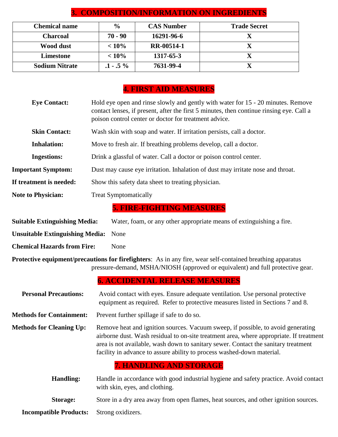| <b>Chemical name</b>  | $\frac{0}{0}$ | <b>CAS Number</b> | <b>Trade Secret</b> |
|-----------------------|---------------|-------------------|---------------------|
| <b>Charcoal</b>       | $70 - 90$     | 16291-96-6        |                     |
| Wood dust             | $< 10\%$      | RR-00514-1        |                     |
| Limestone             | $< 10\%$      | 1317-65-3         |                     |
| <b>Sodium Nitrate</b> | $.1 - .5\%$   | 7631-99-4         |                     |

# **3. COMPOSITION/INFORMATION ON INGREDIENTS**

## **4. FIRST AID MEASURES**

| <b>Eye Contact:</b>                    | Hold eye open and rinse slowly and gently with water for 15 - 20 minutes. Remove<br>contact lenses, if present, after the first 5 minutes, then continue rinsing eye. Call a<br>poison control center or doctor for treatment advice.                                                                                                       |  |  |
|----------------------------------------|---------------------------------------------------------------------------------------------------------------------------------------------------------------------------------------------------------------------------------------------------------------------------------------------------------------------------------------------|--|--|
| <b>Skin Contact:</b>                   | Wash skin with soap and water. If irritation persists, call a doctor.                                                                                                                                                                                                                                                                       |  |  |
| <b>Inhalation:</b>                     | Move to fresh air. If breathing problems develop, call a doctor.                                                                                                                                                                                                                                                                            |  |  |
| <b>Ingestions:</b>                     | Drink a glassful of water. Call a doctor or poison control center.                                                                                                                                                                                                                                                                          |  |  |
| <b>Important Symptom:</b>              | Dust may cause eye irritation. Inhalation of dust may irritate nose and throat.                                                                                                                                                                                                                                                             |  |  |
| If treatment is needed:                | Show this safety data sheet to treating physician.                                                                                                                                                                                                                                                                                          |  |  |
| <b>Note to Physician:</b>              | <b>Treat Symptomatically</b>                                                                                                                                                                                                                                                                                                                |  |  |
|                                        | <b>5. FIRE-FIGHTING MEASURES</b>                                                                                                                                                                                                                                                                                                            |  |  |
| <b>Suitable Extinguishing Media:</b>   | Water, foam, or any other appropriate means of extinguishing a fire.                                                                                                                                                                                                                                                                        |  |  |
| <b>Unsuitable Extinguishing Media:</b> | None                                                                                                                                                                                                                                                                                                                                        |  |  |
| <b>Chemical Hazards from Fire:</b>     | None                                                                                                                                                                                                                                                                                                                                        |  |  |
|                                        | <b>Protective equipment/precautions for firefighters:</b> As in any fire, wear self-contained breathing apparatus<br>pressure-demand, MSHA/NIOSH (approved or equivalent) and full protective gear.                                                                                                                                         |  |  |
|                                        | <b>6. ACCIDENTAL RELEASE MEASURES</b>                                                                                                                                                                                                                                                                                                       |  |  |
| <b>Personal Precautions:</b>           | Avoid contact with eyes. Ensure adequate ventilation. Use personal protective<br>equipment as required. Refer to protective measures listed in Sections 7 and 8.                                                                                                                                                                            |  |  |
| <b>Methods for Containment:</b>        | Prevent further spillage if safe to do so.                                                                                                                                                                                                                                                                                                  |  |  |
| <b>Methods for Cleaning Up:</b>        | Remove heat and ignition sources. Vacuum sweep, if possible, to avoid generating<br>airborne dust. Wash residual to on-site treatment area, where appropriate. If treatment<br>area is not available, wash down to sanitary sewer. Contact the sanitary treatment<br>facility in advance to assure ability to process washed-down material. |  |  |
|                                        | <b>7. HANDLING AND STORAGE</b>                                                                                                                                                                                                                                                                                                              |  |  |
| <b>Handling:</b>                       | Handle in accordance with good industrial hygiene and safety practice. Avoid contact<br>with skin, eyes, and clothing.                                                                                                                                                                                                                      |  |  |
| <b>Storage:</b>                        | Store in a dry area away from open flames, heat sources, and other ignition sources.                                                                                                                                                                                                                                                        |  |  |
|                                        |                                                                                                                                                                                                                                                                                                                                             |  |  |

**Incompatible Products:** Strong oxidizers.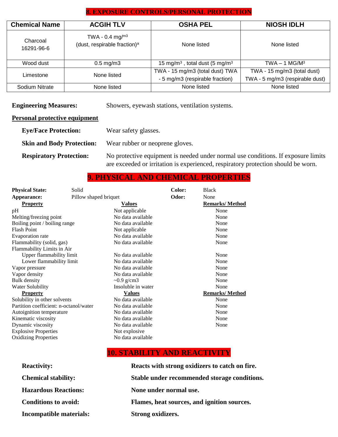#### **8. EXPOSURE CONTROLS/PERSONAL PROTECTION**

| <b>Chemical Name</b>   | <b>ACGIH TLV</b>                                               | <b>OSHA PEL</b>                                                    | <b>NIOSH IDLH</b>                                              |
|------------------------|----------------------------------------------------------------|--------------------------------------------------------------------|----------------------------------------------------------------|
| Charcoal<br>16291-96-6 | TWA - 0.4 mg/ $m3$<br>(dust, respirable fraction) <sup>a</sup> | None listed                                                        | None listed                                                    |
| Wood dust              | $0.5 \text{ mg/m}$ 3                                           | 15 mg/m <sup>3</sup> , total dust (5 mg/m <sup>3</sup>             | $TWA - 1 MG/M3$                                                |
| Limestone              | None listed                                                    | TWA - 15 mg/m3 (total dust) TWA<br>- 5 mg/m3 (respirable fraction) | TWA - 15 mg/m3 (total dust)<br>TWA - 5 mg/m3 (respirable dust) |
| Sodium Nitrate         | None listed                                                    | None listed                                                        | None listed                                                    |

**Engineering Measures:** Showers, eyewash stations, ventilation systems.

#### **Personal protective equipment**

| <b>Eye/Face Protection:</b>      | Wear safety glasses.                                                                 |
|----------------------------------|--------------------------------------------------------------------------------------|
| <b>Skin and Body Protection:</b> | Wear rubber or neoprene gloves.                                                      |
| <b>Respiratory Protection:</b>   | No protective equipment is neede<br>a de la calendar de la fonte esta de la calendar |

#### ed under normal use conditions. If exposure limits are exceeded or irritation is experienced, respiratory protection should be worn.

### **9. PHYSICAL AND CHEMICAL PROPERTIES**

| <b>Physical State:</b>                 | Solid                 | Color: | <b>Black</b>          |
|----------------------------------------|-----------------------|--------|-----------------------|
| Appearance:                            | Pillow shaped briquet | Odor:  | None                  |
| <b>Property</b>                        | <u>Values</u>         |        | <b>Remarks/Method</b> |
| pH                                     | Not applicable        |        | None                  |
| Melting/freezing point                 | No data available     |        | None                  |
| Boiling point / boiling range          | No data available     |        | None                  |
| <b>Flash Point</b>                     | Not applicable        |        | None                  |
| Evaporation rate                       | No data available     |        | None                  |
| Flammability (solid, gas)              | No data available     |        | None                  |
| Flammability Limits in Air             |                       |        |                       |
| Upper flammability limit               | No data available     |        | None                  |
| Lower flammability limit               | No data available     |        | None                  |
| Vapor pressure                         | No data available     |        | None                  |
| Vapor density                          | No data available     |        | None                  |
| <b>Bulk</b> density                    | $\sim 0.9$ g/cm3      |        | None                  |
| Water Solubility                       | Insoluble in water    |        | None                  |
| <b>Property</b>                        | <b>Values</b>         |        | <b>Remarks/Method</b> |
| Solubility in other solvents           | No data available     |        | None                  |
| Partition coefficient: n-octanol/water | No data available     |        | None                  |
| Autoignition temperature               | No data available     |        | None                  |
| Kinematic viscosity                    | No data available     |        | None                  |
| Dynamic viscosity                      | No data available     |        | None                  |
| <b>Explosive Properties</b>            | Not explosive.        |        |                       |
| <b>Oxidizing Properties</b>            | No data available     |        |                       |

### **10. STABILITY AND REACTIVITY**

| <b>Reactivity:</b>             | Reacts with strong oxidizers to catch on fire. |
|--------------------------------|------------------------------------------------|
| <b>Chemical stability:</b>     | Stable under recommended storage conditions.   |
| <b>Hazardous Reactions:</b>    | None under normal use.                         |
| <b>Conditions to avoid:</b>    | Flames, heat sources, and ignition sources.    |
| <b>Incompatible materials:</b> | Strong oxidizers.                              |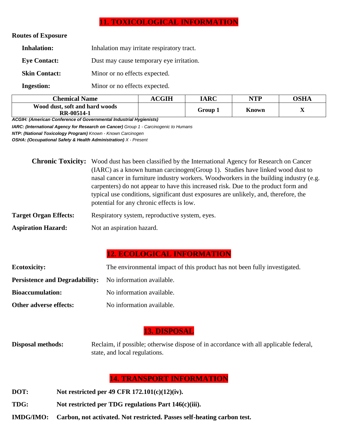#### **11. TOXICOLOGICAL INFORMATION**

#### **Routes of Exposure**

| <b>Inhalation:</b>   | Inhalation may irritate respiratory tract. |
|----------------------|--------------------------------------------|
| <b>Eye Contact:</b>  | Dust may cause temporary eye irritation.   |
| <b>Skin Contact:</b> | Minor or no effects expected.              |
| <b>Ingestion:</b>    | Minor or no effects expected.              |

| <b>Chemical Name</b>                         | <b>ACGIH</b> | <b>IARC</b> | NTP          | OSHA |
|----------------------------------------------|--------------|-------------|--------------|------|
| Wood dust, soft and hard woods<br>RR-00514-1 |              | Group 1     | <b>Known</b> | ∡≖   |

*ACGIH: (American Conference of Governmental Industrial Hygienists)* 

*IARC: (International Agency for Research on Cancer) Group 1 - Carcinogenic to Humans NTP: (National Toxicology Program) Known - Known Carcinogen* 

*OSHA: (Occupational Safety & Health Administration) X - Present* 

|                              | <b>Chronic Toxicity:</b> Wood dust has been classified by the International Agency for Research on Cancer                                                                |  |  |  |
|------------------------------|--------------------------------------------------------------------------------------------------------------------------------------------------------------------------|--|--|--|
|                              | (IARC) as a known human carcinogen (Group 1). Studies have linked wood dust to<br>nasal cancer in furniture industry workers. Woodworkers in the building industry (e.g. |  |  |  |
|                              | carpenters) do not appear to have this increased risk. Due to the product form and                                                                                       |  |  |  |
|                              | typical use conditions, significant dust exposures are unlikely, and, therefore, the<br>potential for any chronic effects is low.                                        |  |  |  |
| <b>Target Organ Effects:</b> | Respiratory system, reproductive system, eyes.                                                                                                                           |  |  |  |

Aspiration Hazard: Not an aspiration hazard.

### **12. ECOLOGICAL INFORMATION**

| <b>Ecotoxicity:</b>                                             | The environmental impact of this product has not been fully investigated. |
|-----------------------------------------------------------------|---------------------------------------------------------------------------|
| <b>Persistence and Degradability:</b> No information available. |                                                                           |
| <b>Bioaccumulation:</b>                                         | No information available.                                                 |
| Other adverse effects:                                          | No information available.                                                 |

#### **13. DISPOSAL**

**Disposal methods:** Reclaim, if possible; otherwise dispose of in accordance with all applicable federal, state, and local regulations.

#### **14. TRANSPORT INFORMATION**

- **DOT: Not restricted per 49 CFR 172.101(c)(12)(iv).**
- **TDG: Not restricted per TDG regulations Part 146(c)(iii).**
- **IMDG/IMO: Carbon, not activated. Not restricted. Passes self-heating carbon test.**